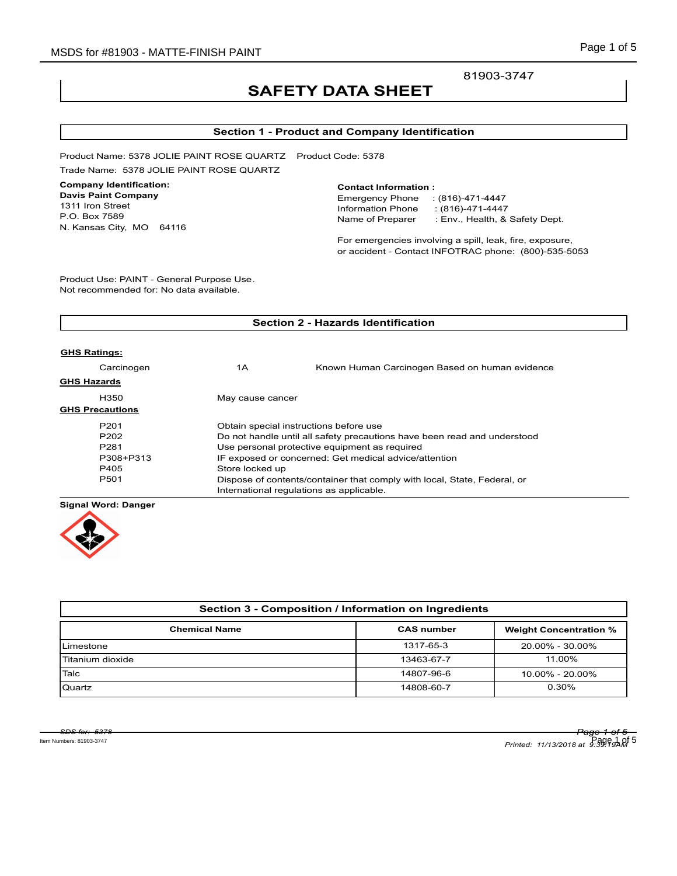81903-3747

# **SAFETY DATA SHEET**

# **Section 1 - Product and Company Identification**

Product Name: 5378 JOLIE PAINT ROSE QUARTZ Product Code: 5378 Trade Name: 5378 JOLIE PAINT ROSE QUARTZ

# **Company Identification:**

**Davis Paint Company** 1311 Iron Street P.O. Box 7589 N. Kansas City, MO 64116

#### **Contact Information :**

Emergency Phone : (816)-471-4447 Information Phone : (816)-471-4447<br>Name of Preparer : Env., Health, & : Env., Health, & Safety Dept.

For emergencies involving a spill, leak, fire, exposure, or accident - Contact INFOTRAC phone: (800)-535-5053

Product Use: PAINT - General Purpose Use. Not recommended for: No data available.

| <b>Section 2 - Hazards Identification</b> |                                                                          |                                                |  |  |
|-------------------------------------------|--------------------------------------------------------------------------|------------------------------------------------|--|--|
| <b>GHS Ratings:</b>                       |                                                                          |                                                |  |  |
| Carcinogen                                | 1Α                                                                       | Known Human Carcinogen Based on human evidence |  |  |
| <b>GHS Hazards</b>                        |                                                                          |                                                |  |  |
| H350                                      | May cause cancer                                                         |                                                |  |  |
| <b>GHS Precautions</b>                    |                                                                          |                                                |  |  |
| P <sub>201</sub>                          | Obtain special instructions before use                                   |                                                |  |  |
| P <sub>202</sub>                          | Do not handle until all safety precautions have been read and understood |                                                |  |  |
| P <sub>281</sub>                          | Use personal protective equipment as required                            |                                                |  |  |
| P308+P313                                 | IF exposed or concerned: Get medical advice/attention                    |                                                |  |  |
| P405                                      | Store locked up                                                          |                                                |  |  |
| P <sub>501</sub>                          | Dispose of contents/container that comply with local, State, Federal, or |                                                |  |  |
|                                           | International regulations as applicable.                                 |                                                |  |  |
|                                           |                                                                          |                                                |  |  |

#### **Signal Word: Danger**



| Section 3 - Composition / Information on Ingredients |                   |                               |  |  |
|------------------------------------------------------|-------------------|-------------------------------|--|--|
| <b>Chemical Name</b>                                 | <b>CAS number</b> | <b>Weight Concentration %</b> |  |  |
| Limestone                                            | 1317-65-3         | 20.00% - 30.00%               |  |  |
| Titanium dioxide                                     | 13463-67-7        | 11.00%                        |  |  |
| Talc                                                 | 14807-96-6        | 10.00% - 20.00%               |  |  |
| Quartz                                               | 14808-60-7        | 0.30%                         |  |  |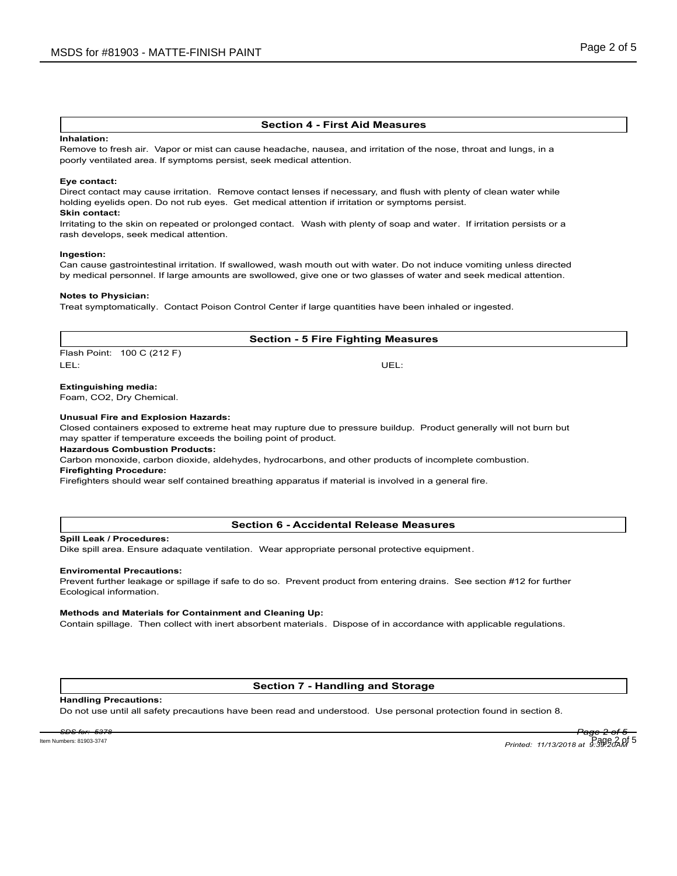#### **Section 4 - First Aid Measures**

#### **Inhalation:**

Remove to fresh air. Vapor or mist can cause headache, nausea, and irritation of the nose, throat and lungs, in a poorly ventilated area. If symptoms persist, seek medical attention.

#### **Eye contact:**

Direct contact may cause irritation. Remove contact lenses if necessary, and flush with plenty of clean water while holding eyelids open. Do not rub eyes. Get medical attention if irritation or symptoms persist.

# **Skin contact:**

Irritating to the skin on repeated or prolonged contact. Wash with plenty of soap and water. If irritation persists or a rash develops, seek medical attention.

#### **Ingestion:**

Can cause gastrointestinal irritation. If swallowed, wash mouth out with water. Do not induce vomiting unless directed by medical personnel. If large amounts are swollowed, give one or two glasses of water and seek medical attention.

#### **Notes to Physician:**

Treat symptomatically. Contact Poison Control Center if large quantities have been inhaled or ingested.

# **Section - 5 Fire Fighting Measures**

Flash Point: 100 C (212 F) LEL: UEL:

#### **Extinguishing media:**

Foam, CO2, Dry Chemical.

#### **Unusual Fire and Explosion Hazards:**

Closed containers exposed to extreme heat may rupture due to pressure buildup. Product generally will not burn but may spatter if temperature exceeds the boiling point of product.

### **Hazardous Combustion Products:**

Carbon monoxide, carbon dioxide, aldehydes, hydrocarbons, and other products of incomplete combustion.

#### **Firefighting Procedure:**

Firefighters should wear self contained breathing apparatus if material is involved in a general fire.

#### **Section 6 - Accidental Release Measures**

#### **Spill Leak / Procedures:**

Dike spill area. Ensure adaquate ventilation. Wear appropriate personal protective equipment.

#### **Enviromental Precautions:**

Prevent further leakage or spillage if safe to do so. Prevent product from entering drains. See section #12 for further Ecological information.

#### **Methods and Materials for Containment and Cleaning Up:**

Contain spillage. Then collect with inert absorbent materials. Dispose of in accordance with applicable regulations.

# **Section 7 - Handling and Storage**

#### **Handling Precautions:**

Do not use until all safety precautions have been read and understood. Use personal protection found in section 8.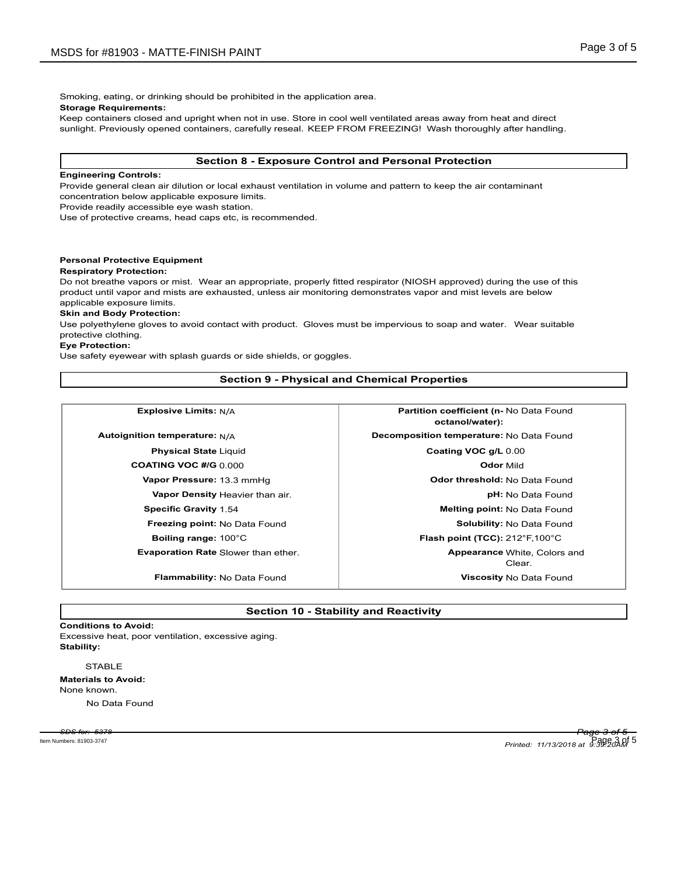Smoking, eating, or drinking should be prohibited in the application area.

**Storage Requirements:**

Keep containers closed and upright when not in use. Store in cool well ventilated areas away from heat and direct sunlight. Previously opened containers, carefully reseal. KEEP FROM FREEZING! Wash thoroughly after handling.

# **Section 8 - Exposure Control and Personal Protection**

#### **Engineering Controls:**

Provide general clean air dilution or local exhaust ventilation in volume and pattern to keep the air contaminant concentration below applicable exposure limits.

Provide readily accessible eye wash station.

Use of protective creams, head caps etc, is recommended.

# **Personal Protective Equipment**

#### **Respiratory Protection:**

Do not breathe vapors or mist. Wear an appropriate, properly fitted respirator (NIOSH approved) during the use of this product until vapor and mists are exhausted, unless air monitoring demonstrates vapor and mist levels are below applicable exposure limits.

#### **Skin and Body Protection:**

Use polyethylene gloves to avoid contact with product. Gloves must be impervious to soap and water. Wear suitable protective clothing.

#### **Eye Protection:**

Use safety eyewear with splash guards or side shields, or goggles.

# **Section 9 - Physical and Chemical Properties**

**Explosive Limits:**  $N/A$  **Partition coefficient (n-** No Data Found

**COATING VOC #/G** 0.000 **Odor** Mild

**Evaporation Rate** Slower than ether.

**octanol/water): Autoignition temperature:** N/A **Decomposition temperature:** No Data Found **Physical State** Liquid **Coating VOC g/L** 0.00 Vapor Pressure: 13.3 mmHg **Disk and Allen Contracts** Codor threshold: No Data Found **Vapor Density** Heavier than air. *pH***:** No Data Found **Specific Gravity** 1.54 **Melting point:** No Data Found **Freezing point:** No Data Found **Solubility: No Data Found Solubility: No Data Found Boiling range:** 100°C **Flash point (TCC):** 212°F,100°C Clear. **Appearance White, Colors and Flammability:** No Data Found **Viscosity** No Data Found

# **Section 10 - Stability and Reactivity**

#### **Conditions to Avoid:**

Excessive heat, poor ventilation, excessive aging. **Stability:**

# **STABLE**

**Materials to Avoid:** None known.

No Data Found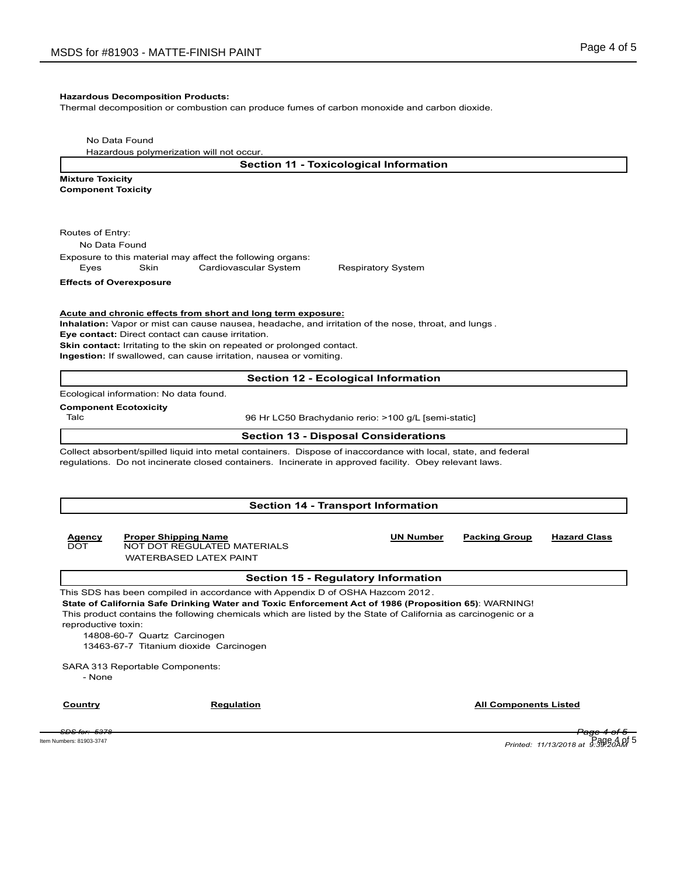#### **Hazardous Decomposition Products:**

Thermal decomposition or combustion can produce fumes of carbon monoxide and carbon dioxide.

No Data Found

Hazardous polymerization will not occur.

**Section 11 - Toxicological Information**

**Mixture Toxicity Component Toxicity**

Routes of Entry:

No Data Found

Exposure to this material may affect the following organs: Eyes Skin Cardiovascular System Respiratory System

**Effects of Overexposure**

**Acute and chronic effects from short and long term exposure:**

**Inhalation:** Vapor or mist can cause nausea, headache, and irritation of the nose, throat, and lungs .

**Eye contact:** Direct contact can cause irritation.

**Skin contact:** Irritating to the skin on repeated or prolonged contact.

**Ingestion:** If swallowed, can cause irritation, nausea or vomiting.

#### **Section 12 - Ecological Information**

Ecological information: No data found.

#### **Component Ecotoxicity**

Talc 96 Hr LC50 Brachydanio rerio: >100 g/L [semi-static]

#### **Section 13 - Disposal Considerations**

Collect absorbent/spilled liquid into metal containers. Dispose of inaccordance with local, state, and federal regulations. Do not incinerate closed containers. Incinerate in approved facility. Obey relevant laws.

#### **Section 14 - Transport Information**

# **Agency Proper Shipping Name UN Number Packing Group Hazard Class** NOT DOT REGULATED MATERIALS WATERBASED LATEX PAINT

#### **Section 15 - Regulatory Information**

This SDS has been compiled in accordance with Appendix D of OSHA Hazcom 2012. **State of California Safe Drinking Water and Toxic Enforcement Act of 1986 (Proposition 65)**: WARNING! This product contains the following chemicals which are listed by the State of California as carcinogenic or a reproductive toxin:

14808-60-7 Quartz Carcinogen 13463-67-7 Titanium dioxide Carcinogen

SARA 313 Reportable Components:

- None

**Country Country Regulation Regulation Country All Components Listed** 

*SDS for: 5378 Page 4 of 5 Printed: 11/13/2018 at 9:39:20AM* Item Numbers: 81903-3747 Page 4 of 5